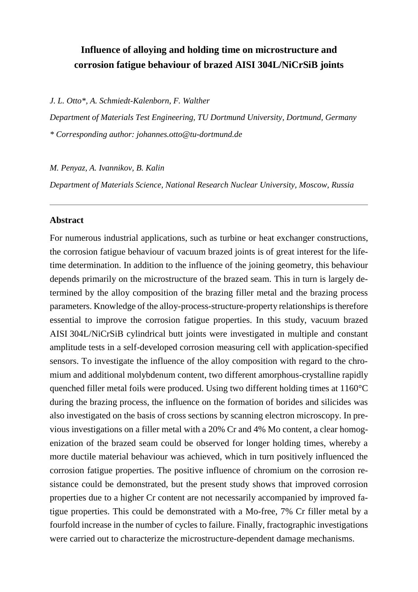# **Influence of alloying and holding time on microstructure and corrosion fatigue behaviour of brazed AISI 304L/NiCrSiB joints**

#### *J. L. Otto\*, A. Schmiedt-Kalenborn, F. Walther*

*Department of Materials Test Engineering, TU Dortmund University, Dortmund, Germany \* Corresponding author: johannes.otto@tu-dortmund.de*

#### *M. Penyaz, A. Ivannikov, B. Kalin*

*Department of Materials Science, National Research Nuclear University, Moscow, Russia*

#### **Abstract**

For numerous industrial applications, such as turbine or heat exchanger constructions, the corrosion fatigue behaviour of vacuum brazed joints is of great interest for the lifetime determination. In addition to the influence of the joining geometry, this behaviour depends primarily on the microstructure of the brazed seam. This in turn is largely determined by the alloy composition of the brazing filler metal and the brazing process parameters. Knowledge of the alloy-process-structure-property relationships is therefore essential to improve the corrosion fatigue properties. In this study, vacuum brazed AISI 304L/NiCrSiB cylindrical butt joints were investigated in multiple and constant amplitude tests in a self-developed corrosion measuring cell with application-specified sensors. To investigate the influence of the alloy composition with regard to the chromium and additional molybdenum content, two different amorphous-crystalline rapidly quenched filler metal foils were produced. Using two different holding times at 1160°C during the brazing process, the influence on the formation of borides and silicides was also investigated on the basis of cross sections by scanning electron microscopy. In previous investigations on a filler metal with a 20% Cr and 4% Mo content, a clear homogenization of the brazed seam could be observed for longer holding times, whereby a more ductile material behaviour was achieved, which in turn positively influenced the corrosion fatigue properties. The positive influence of chromium on the corrosion resistance could be demonstrated, but the present study shows that improved corrosion properties due to a higher Cr content are not necessarily accompanied by improved fatigue properties. This could be demonstrated with a Mo-free, 7% Cr filler metal by a fourfold increase in the number of cycles to failure. Finally, fractographic investigations were carried out to characterize the microstructure-dependent damage mechanisms.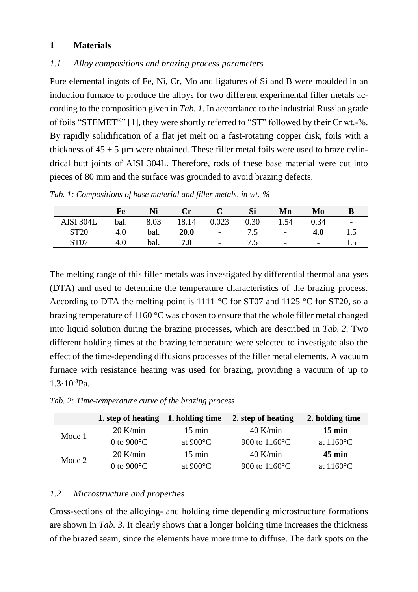### **1 Materials**

### *1.1 Alloy compositions and brazing process parameters*

Pure elemental ingots of Fe, Ni, Cr, Mo and ligatures of Si and B were moulded in an induction furnace to produce the alloys for two different experimental filler metals according to the composition given in *Tab. 1*. In accordance to the industrial Russian grade of foils "STEMET®" [1], they were shortly referred to "ST" followed by their Cr wt.-%. By rapidly solidification of a flat jet melt on a fast-rotating copper disk, foils with a thickness of  $45 \pm 5$  µm were obtained. These filler metal foils were used to braze cylindrical butt joints of AISI 304L. Therefore, rods of these base material were cut into pieces of 80 mm and the surface was grounded to avoid brazing defects.

|  |  |  |  |  | Tab. 1: Compositions of base material and filler metals, in wt. $\frac{1}{6}$ |  |
|--|--|--|--|--|-------------------------------------------------------------------------------|--|
|--|--|--|--|--|-------------------------------------------------------------------------------|--|

|           | Fe   | Ni   | Ùr   |                          | Si   | Mn                       | Mo   |                          |
|-----------|------|------|------|--------------------------|------|--------------------------|------|--------------------------|
| AISI 304I | bal. | 8.03 | 8.14 | 023                      | 0.30 | .54                      | ገ 34 | $\overline{\phantom{0}}$ |
| CDQ       | 4.U  | bal. | 20.0 |                          | ່•~  | $\overline{\phantom{0}}$ | 4.U  | ن. ۱                     |
| STO7      | 4.U  | bal. | 7.0  | $\overline{\phantom{0}}$ | ر. . | $\overline{\phantom{a}}$ |      | ن .                      |

The melting range of this filler metals was investigated by differential thermal analyses (DTA) and used to determine the temperature characteristics of the brazing process. According to DTA the melting point is 1111  $\degree$ C for ST07 and 1125  $\degree$ C for ST20, so a brazing temperature of 1160 °C was chosen to ensure that the whole filler metal changed into liquid solution during the brazing processes, which are described in *Tab. 2*. Two different holding times at the brazing temperature were selected to investigate also the effect of the time-depending diffusions processes of the filler metal elements. A vacuum furnace with resistance heating was used for brazing, providing a vacuum of up to  $1.3 \cdot 10^{-3} Pa$ 

|        | 1. step of heating   | 1. holding time    | 2. step of heating      | 2. holding time     |
|--------|----------------------|--------------------|-------------------------|---------------------|
| Mode 1 | $20$ K/min           | $15 \text{ min}$   | $40$ K/min              | $15 \text{ min}$    |
|        | 0 to $900^{\circ}$ C | at $900^{\circ}$ C | 900 to $1160^{\circ}$ C | at $1160^{\circ}$ C |
| Mode 2 | $20$ K/min           | $15 \text{ min}$   | $40$ K/min              | $45 \text{ min}$    |
|        | 0 to $900^{\circ}$ C | at $900^{\circ}$ C | 900 to $1160^{\circ}$ C | at $1160^{\circ}$ C |

*Tab. 2: Time-temperature curve of the brazing process*

#### *1.2 Microstructure and properties*

Cross-sections of the alloying- and holding time depending microstructure formations are shown in *Tab. 3*. It clearly shows that a longer holding time increases the thickness of the brazed seam, since the elements have more time to diffuse. The dark spots on the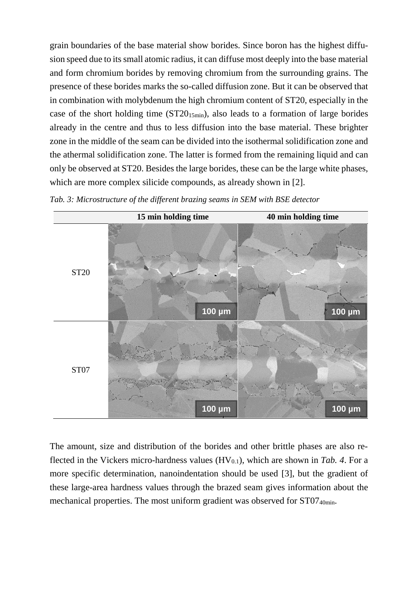grain boundaries of the base material show borides. Since boron has the highest diffusion speed due to its small atomic radius, it can diffuse most deeply into the base material and form chromium borides by removing chromium from the surrounding grains. The presence of these borides marks the so-called diffusion zone. But it can be observed that in combination with molybdenum the high chromium content of ST20, especially in the case of the short holding time  $(ST20_{15min})$ , also leads to a formation of large borides already in the centre and thus to less diffusion into the base material. These brighter zone in the middle of the seam can be divided into the isothermal solidification zone and the athermal solidification zone. The latter is formed from the remaining liquid and can only be observed at ST20. Besides the large borides, these can be the large white phases, which are more complex silicide compounds, as already shown in [2].



*Tab. 3: Microstructure of the different brazing seams in SEM with BSE detector*

The amount, size and distribution of the borides and other brittle phases are also reflected in the Vickers micro-hardness values  $(HV_{0,1})$ , which are shown in *Tab.* 4. For a more specific determination, nanoindentation should be used [3], but the gradient of these large-area hardness values through the brazed seam gives information about the mechanical properties. The most uniform gradient was observed for ST07<sub>40min</sub>.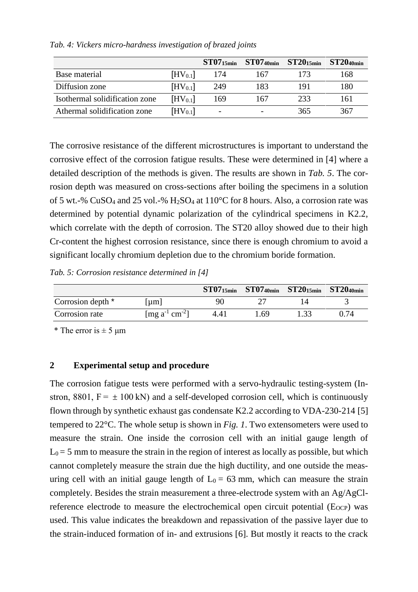|                                |                      | $ST0715$ min | $ST07_{40min}$ | $ST20_{15min}$ | $ST20$ 40min |
|--------------------------------|----------------------|--------------|----------------|----------------|--------------|
| Base material                  | [HV <sub>0.1</sub> ] | 174          | 167            | 173            | 168          |
| Diffusion zone                 | [HV <sub>0.1</sub> ] | 249          | 183            | 191            | 180          |
| Isothermal solidification zone | [HV <sub>0.1</sub> ] | 169          | 167            | 233            | 161          |
| Athermal solidification zone   | [HV <sub>0.1</sub> ] |              |                | 365            | 367          |

*Tab. 4: Vickers micro-hardness investigation of brazed joints*

The corrosive resistance of the different microstructures is important to understand the corrosive effect of the corrosion fatigue results. These were determined in [4] where a detailed description of the methods is given. The results are shown in *Tab. 5*. The corrosion depth was measured on cross-sections after boiling the specimens in a solution of 5 wt.-% CuSO<sup>4</sup> and 25 vol.-% H2SO<sup>4</sup> at 110°C for 8 hours. Also, a corrosion rate was determined by potential dynamic polarization of the cylindrical specimens in K2.2, which correlate with the depth of corrosion. The ST20 alloy showed due to their high Cr-content the highest corrosion resistance, since there is enough chromium to avoid a significant locally chromium depletion due to the chromium boride formation.

*Tab. 5: Corrosion resistance determined in [4]*

|                              |                                 |      |     | $ST07_{15min}$ $ST07_{40min}$ $ST20_{15min}$ $ST20_{40min}$ |      |
|------------------------------|---------------------------------|------|-----|-------------------------------------------------------------|------|
| Corrosion depth <sup>*</sup> | $\mu$ m                         | 90   |     |                                                             |      |
| Corrosion rate               | [mg $a^{-1}$ cm <sup>-2</sup> ] | 4.41 | -69 | 1.33                                                        | በ 74 |

\* The error is  $\pm$  5 µm

#### **2 Experimental setup and procedure**

The corrosion fatigue tests were performed with a servo-hydraulic testing-system (Instron, 8801,  $F = \pm 100$  kN) and a self-developed corrosion cell, which is continuously flown through by synthetic exhaust gas condensate K2.2 according to VDA-230-214 [5] tempered to 22°C. The whole setup is shown in *Fig. 1*. Two extensometers were used to measure the strain. One inside the corrosion cell with an initial gauge length of  $L_0 = 5$  mm to measure the strain in the region of interest as locally as possible, but which cannot completely measure the strain due the high ductility, and one outside the measuring cell with an initial gauge length of  $L_0 = 63$  mm, which can measure the strain completely. Besides the strain measurement a three-electrode system with an Ag/AgClreference electrode to measure the electrochemical open circuit potential  $(E_{OCP})$  was used. This value indicates the breakdown and repassivation of the passive layer due to the strain-induced formation of in- and extrusions [6]. But mostly it reacts to the crack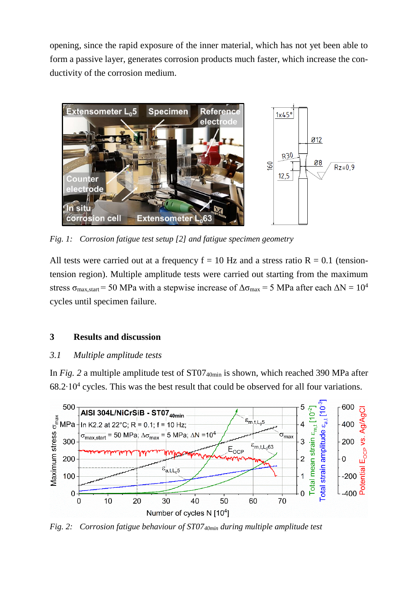opening, since the rapid exposure of the inner material, which has not yet been able to form a passive layer, generates corrosion products much faster, which increase the conductivity of the corrosion medium.



*Fig. 1: Corrosion fatigue test setup [2] and fatigue specimen geometry*

All tests were carried out at a frequency  $f = 10$  Hz and a stress ratio  $R = 0.1$  (tensiontension region). Multiple amplitude tests were carried out starting from the maximum stress  $\sigma_{\text{max,start}}$  = 50 MPa with a stepwise increase of  $\Delta\sigma_{\text{max}}$  = 5 MPa after each  $\Delta N = 10^4$ cycles until specimen failure.

### **3 Results and discussion**

### *3.1 Multiple amplitude tests*

In *Fig.* 2 a multiple amplitude test of ST07<sub>40min</sub> is shown, which reached 390 MPa after 68.2∙10<sup>4</sup> cycles. This was the best result that could be observed for all four variations.



*Fig. 2: Corrosion fatigue behaviour of ST0740min during multiple amplitude test*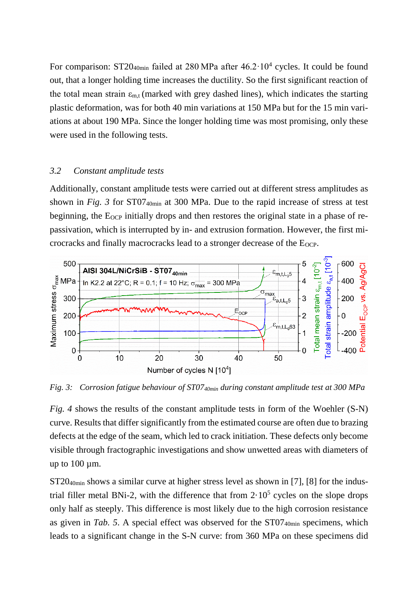For comparison: ST20<sub>40min</sub> failed at 280 MPa after 46.2·10<sup>4</sup> cycles. It could be found out, that a longer holding time increases the ductility. So the first significant reaction of the total mean strain  $\varepsilon_{m,t}$  (marked with grey dashed lines), which indicates the starting plastic deformation, was for both 40 min variations at 150 MPa but for the 15 min variations at about 190 MPa. Since the longer holding time was most promising, only these were used in the following tests.

#### *3.2 Constant amplitude tests*

Additionally, constant amplitude tests were carried out at different stress amplitudes as shown in *Fig. 3* for ST0740min at 300 MPa. Due to the rapid increase of stress at test beginning, the  $E_{OCP}$  initially drops and then restores the original state in a phase of repassivation, which is interrupted by in- and extrusion formation. However, the first microcracks and finally macrocracks lead to a stronger decrease of the  $E_{OCP}$ .



*Fig. 3: Corrosion fatigue behaviour of ST0740min during constant amplitude test at 300 MPa*

*Fig. 4* shows the results of the constant amplitude tests in form of the Woehler (S-N) curve. Results that differ significantly from the estimated course are often due to brazing defects at the edge of the seam, which led to crack initiation. These defects only become visible through fractographic investigations and show unwetted areas with diameters of up to  $100 \mu m$ .

ST2040min shows a similar curve at higher stress level as shown in [7], [8] for the industrial filler metal BNi-2, with the difference that from  $2 \cdot 10^5$  cycles on the slope drops only half as steeply. This difference is most likely due to the high corrosion resistance as given in *Tab.* 5. A special effect was observed for the ST07<sub>40min</sub> specimens, which leads to a significant change in the S-N curve: from 360 MPa on these specimens did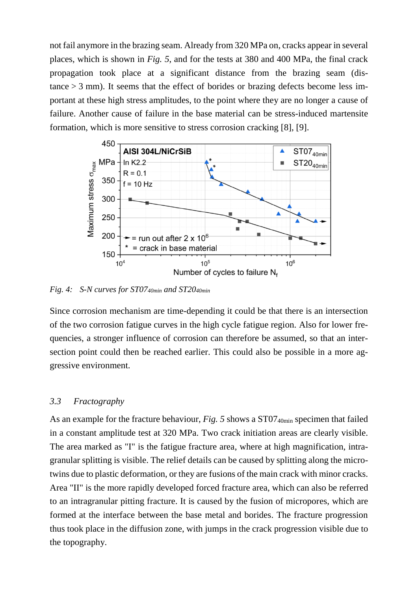not fail anymore in the brazing seam. Already from 320 MPa on, cracks appear in several places, which is shown in *Fig. 5*, and for the tests at 380 and 400 MPa, the final crack propagation took place at a significant distance from the brazing seam (distance > 3 mm). It seems that the effect of borides or brazing defects become less important at these high stress amplitudes, to the point where they are no longer a cause of failure. Another cause of failure in the base material can be stress-induced martensite formation, which is more sensitive to stress corrosion cracking [8], [9].



*Fig. 4: S-N curves for ST0740min and ST2040min*

Since corrosion mechanism are time-depending it could be that there is an intersection of the two corrosion fatigue curves in the high cycle fatigue region. Also for lower frequencies, a stronger influence of corrosion can therefore be assumed, so that an intersection point could then be reached earlier. This could also be possible in a more aggressive environment.

### *3.3 Fractography*

As an example for the fracture behaviour, *Fig.* 5 shows a ST07<sub>40min</sub> specimen that failed in a constant amplitude test at 320 MPa. Two crack initiation areas are clearly visible. The area marked as "I" is the fatigue fracture area, where at high magnification, intragranular splitting is visible. The relief details can be caused by splitting along the microtwins due to plastic deformation, or they are fusions of the main crack with minor cracks. Area "II" is the more rapidly developed forced fracture area, which can also be referred to an intragranular pitting fracture. It is caused by the fusion of micropores, which are formed at the interface between the base metal and borides. The fracture progression thus took place in the diffusion zone, with jumps in the crack progression visible due to the topography.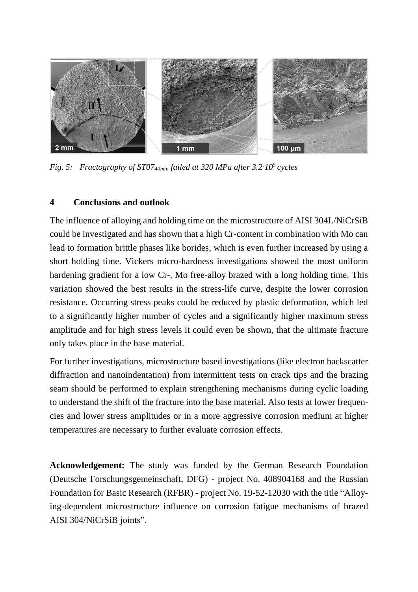

*Fig. 5: Fractography of ST0740min failed at 320 MPa after 3.2∙10<sup>5</sup>cycles*

## **4 Conclusions and outlook**

The influence of alloying and holding time on the microstructure of AISI 304L/NiCrSiB could be investigated and has shown that a high Cr-content in combination with Mo can lead to formation brittle phases like borides, which is even further increased by using a short holding time. Vickers micro-hardness investigations showed the most uniform hardening gradient for a low Cr-, Mo free-alloy brazed with a long holding time. This variation showed the best results in the stress-life curve, despite the lower corrosion resistance. Occurring stress peaks could be reduced by plastic deformation, which led to a significantly higher number of cycles and a significantly higher maximum stress amplitude and for high stress levels it could even be shown, that the ultimate fracture only takes place in the base material.

For further investigations, microstructure based investigations (like electron backscatter diffraction and nanoindentation) from intermittent tests on crack tips and the brazing seam should be performed to explain strengthening mechanisms during cyclic loading to understand the shift of the fracture into the base material. Also tests at lower frequencies and lower stress amplitudes or in a more aggressive corrosion medium at higher temperatures are necessary to further evaluate corrosion effects.

**Acknowledgement:** The study was funded by the German Research Foundation (Deutsche Forschungsgemeinschaft, DFG) - project No. 408904168 and the Russian Foundation for Basic Research (RFBR) - project No. 19-52-12030 with the title "Alloying-dependent microstructure influence on corrosion fatigue mechanisms of brazed AISI 304/NiCrSiB joints".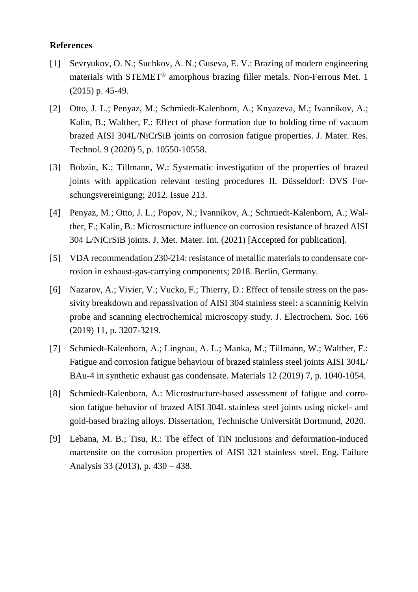#### **References**

- [1] Sevryukov, O. N.; Suchkov, A. N.; Guseva, E. V.: Brazing of modern engineering materials with STEMET® amorphous brazing filler metals. Non-Ferrous Met. 1 (2015) p. 45-49.
- [2] Otto, J. L.; Penyaz, M.; Schmiedt-Kalenborn, A.; Knyazeva, M.; Ivannikov, A.; Kalin, B.; Walther, F.: Effect of phase formation due to holding time of vacuum brazed AISI 304L/NiCrSiB joints on corrosion fatigue properties. J. Mater. Res. Technol. 9 (2020) 5, p. 10550-10558.
- [3] Bobzin, K.; Tillmann, W.: Systematic investigation of the properties of brazed joints with application relevant testing procedures II. Düsseldorf: DVS Forschungsvereinigung; 2012. Issue 213.
- [4] Penyaz, M.; Otto, J. L.; Popov, N.; Ivannikov, A.; Schmiedt-Kalenborn, A.; Walther, F.; Kalin, B.: Microstructure influence on corrosion resistance of brazed AISI 304 L/NiCrSiB joints. J. Met. Mater. Int. (2021) [Accepted for publication].
- [5] VDA recommendation 230-214: resistance of metallic materials to condensate corrosion in exhaust-gas-carrying components; 2018. Berlin, Germany.
- [6] Nazarov, A.; Vivier, V.; Vucko, F.; Thierry, D.: Effect of tensile stress on the passivity breakdown and repassivation of AISI 304 stainless steel: a scanninig Kelvin probe and scanning electrochemical microscopy study. J. Electrochem. Soc. 166 (2019) 11, p. 3207-3219.
- [7] Schmiedt-Kalenborn, A.; Lingnau, A. L.; Manka, M.; Tillmann, W.; Walther, F.: Fatigue and corrosion fatigue behaviour of brazed stainless steel joints AISI 304L/ BAu-4 in synthetic exhaust gas condensate. Materials 12 (2019) 7, p. 1040-1054.
- [8] Schmiedt-Kalenborn, A.: Microstructure-based assessment of fatigue and corrosion fatigue behavior of brazed AISI 304L stainless steel joints using nickel- and gold-based brazing alloys. Dissertation, Technische Universität Dortmund, 2020.
- [9] Lebana, M. B.; Tisu, R.: The effect of TiN inclusions and deformation-induced martensite on the corrosion properties of AISI 321 stainless steel. Eng. Failure Analysis 33 (2013), p. 430 – 438.